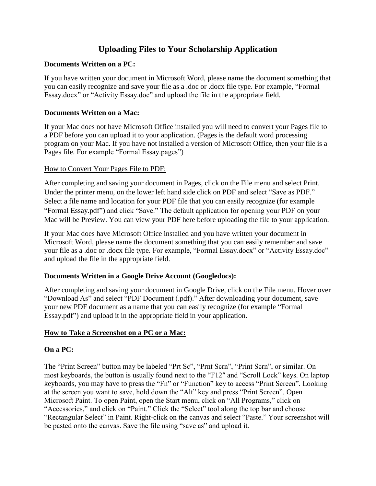# **Uploading Files to Your Scholarship Application**

## **Documents Written on a PC:**

If you have written your document in Microsoft Word, please name the document something that you can easily recognize and save your file as a .doc or .docx file type. For example, "Formal Essay.docx" or "Activity Essay.doc" and upload the file in the appropriate field.

### **Documents Written on a Mac:**

If your Mac does not have Microsoft Office installed you will need to convert your Pages file to a PDF before you can upload it to your application. (Pages is the default word processing program on your Mac. If you have not installed a version of Microsoft Office, then your file is a Pages file. For example "Formal Essay.pages")

#### How to Convert Your Pages File to PDF:

After completing and saving your document in Pages, click on the File menu and select Print. Under the printer menu, on the lower left hand side click on PDF and select "Save as PDF." Select a file name and location for your PDF file that you can easily recognize (for example "Formal Essay.pdf") and click "Save." The default application for opening your PDF on your Mac will be Preview. You can view your PDF here before uploading the file to your application.

If your Mac does have Microsoft Office installed and you have written your document in Microsoft Word, please name the document something that you can easily remember and save your file as a .doc or .docx file type. For example, "Formal Essay.docx" or "Activity Essay.doc" and upload the file in the appropriate field.

## **Documents Written in a Google Drive Account (Googledocs):**

After completing and saving your document in Google Drive, click on the File menu. Hover over "Download As" and select "PDF Document (.pdf)." After downloading your document, save your new PDF document as a name that you can easily recognize (for example "Formal Essay.pdf") and upload it in the appropriate field in your application.

## **How to Take a Screenshot on a PC or a Mac:**

## **On a PC:**

The "Print Screen" button may be labeled "Prt Sc", "Prnt Scrn", "Print Scrn", or similar. On most keyboards, the button is usually found next to the "F12″ and "Scroll Lock" keys. On laptop keyboards, you may have to press the "Fn" or "Function" key to access "Print Screen". Looking at the screen you want to save, hold down the "Alt" key and press "Print Screen". Open Microsoft Paint. To open Paint, open the Start menu, click on "All Programs," click on "Accessories," and click on "Paint." Click the "Select" tool along the top bar and choose "Rectangular Select" in Paint. Right-click on the canvas and select "Paste." Your screenshot will be pasted onto the canvas. Save the file using "save as" and upload it.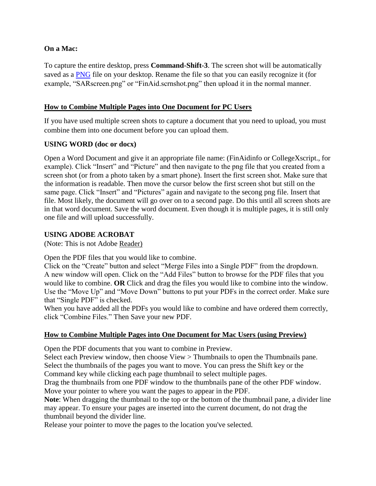### **On a Mac:**

To capture the entire desktop, press **Command-Shift-3**. The screen shot will be automatically saved as a [PNG](http://graphicssoft.about.com/od/formatspng/) file on your desktop. Rename the file so that you can easily recognize it (for example, "SARscreen.png" or "FinAid.scrnshot.png" then upload it in the normal manner.

### **How to Combine Multiple Pages into One Document for PC Users**

If you have used multiple screen shots to capture a document that you need to upload, you must combine them into one document before you can upload them.

#### **USING WORD (doc or docx)**

Open a Word Document and give it an appropriate file name: (FinAidinfo or CollegeXscript., for example). Click "Insert" and "Picture" and then navigate to the png file that you created from a screen shot (or from a photo taken by a smart phone). Insert the first screen shot. Make sure that the information is readable. Then move the cursor below the first screen shot but still on the same page. Click "Insert" and "Pictures" again and navigate to the secong png file. Insert that file. Most likely, the document will go over on to a second page. Do this until all screen shots are in that word document. Save the word document. Even though it is multiple pages, it is still only one file and will upload successfully.

#### **USING ADOBE ACROBAT**

(Note: This is not Adobe Reader)

Open the PDF files that you would like to combine.

Click on the "Create" button and select "Merge Files into a Single PDF" from the dropdown. A new window will open. Click on the "Add Files" button to browse for the PDF files that you would like to combine. **OR** Click and drag the files you would like to combine into the window. Use the "Move Up" and "Move Down" buttons to put your PDFs in the correct order. Make sure that "Single PDF" is checked.

When you have added all the PDFs you would like to combine and have ordered them correctly, click "Combine Files." Then Save your new PDF.

## **How to Combine Multiple Pages into One Document for Mac Users (using Preview)**

Open the PDF documents that you want to combine in Preview.

Select each Preview window, then choose View > Thumbnails to open the Thumbnails pane. Select the thumbnails of the pages you want to move. You can press the Shift key or the Command key while clicking each page thumbnail to select multiple pages.

Drag the thumbnails from one PDF window to the thumbnails pane of the other PDF window. Move your pointer to where you want the pages to appear in the PDF.

**Note**: When dragging the thumbnail to the top or the bottom of the thumbnail pane, a divider line may appear. To ensure your pages are inserted into the current document, do not drag the thumbnail beyond the divider line.

Release your pointer to move the pages to the location you've selected.